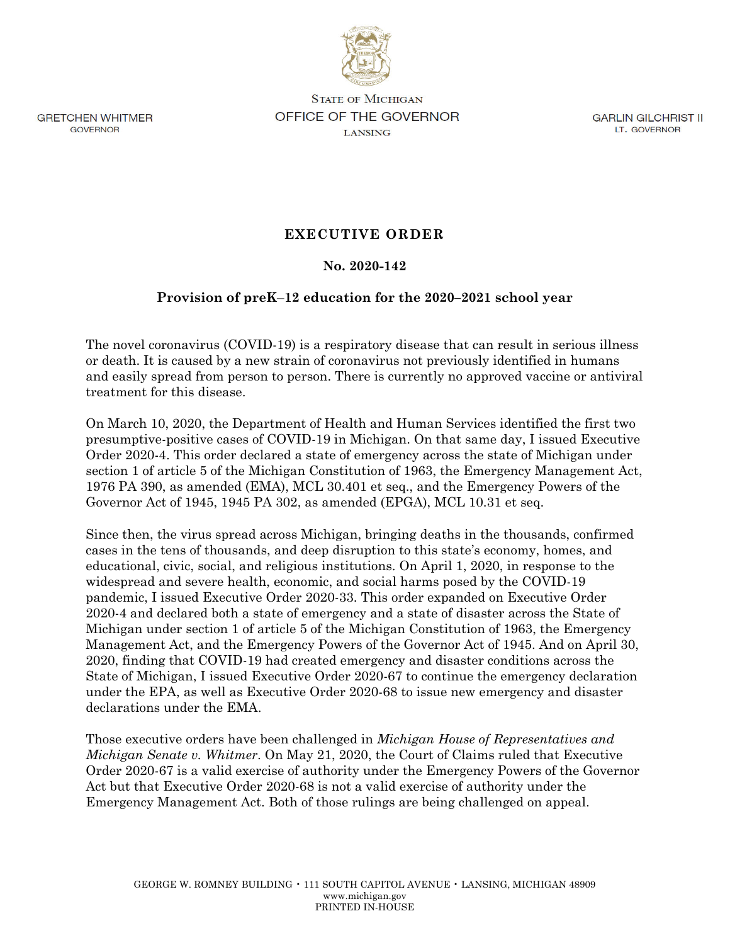

**GRETCHEN WHITMER GOVERNOR** 

**STATE OF MICHIGAN** OFFICE OF THE GOVERNOR **LANSING** 

**GARLIN GILCHRIST II** LT. GOVERNOR

# **EXECUTIVE ORDER**

# **No. 2020-142**

# **Provision of preK**–**12 education for the 2020–2021 school year**

The novel coronavirus (COVID-19) is a respiratory disease that can result in serious illness or death. It is caused by a new strain of coronavirus not previously identified in humans and easily spread from person to person. There is currently no approved vaccine or antiviral treatment for this disease.

On March 10, 2020, the Department of Health and Human Services identified the first two presumptive-positive cases of COVID-19 in Michigan. On that same day, I issued Executive Order 2020-4. This order declared a state of emergency across the state of Michigan under section 1 of article 5 of the Michigan Constitution of 1963, the Emergency Management Act, 1976 PA 390, as amended (EMA), MCL 30.401 et seq., and the Emergency Powers of the Governor Act of 1945, 1945 PA 302, as amended (EPGA), MCL 10.31 et seq.

Since then, the virus spread across Michigan, bringing deaths in the thousands, confirmed cases in the tens of thousands, and deep disruption to this state's economy, homes, and educational, civic, social, and religious institutions. On April 1, 2020, in response to the widespread and severe health, economic, and social harms posed by the COVID-19 pandemic, I issued Executive Order 2020-33. This order expanded on Executive Order 2020-4 and declared both a state of emergency and a state of disaster across the State of Michigan under section 1 of article 5 of the Michigan Constitution of 1963, the Emergency Management Act, and the Emergency Powers of the Governor Act of 1945. And on April 30, 2020, finding that COVID-19 had created emergency and disaster conditions across the State of Michigan, I issued Executive Order 2020-67 to continue the emergency declaration under the EPA, as well as Executive Order 2020-68 to issue new emergency and disaster declarations under the EMA.

Those executive orders have been challenged in *Michigan House of Representatives and Michigan Senate v. Whitmer*. On May 21, 2020, the Court of Claims ruled that Executive Order 2020-67 is a valid exercise of authority under the Emergency Powers of the Governor Act but that Executive Order 2020-68 is not a valid exercise of authority under the Emergency Management Act. Both of those rulings are being challenged on appeal.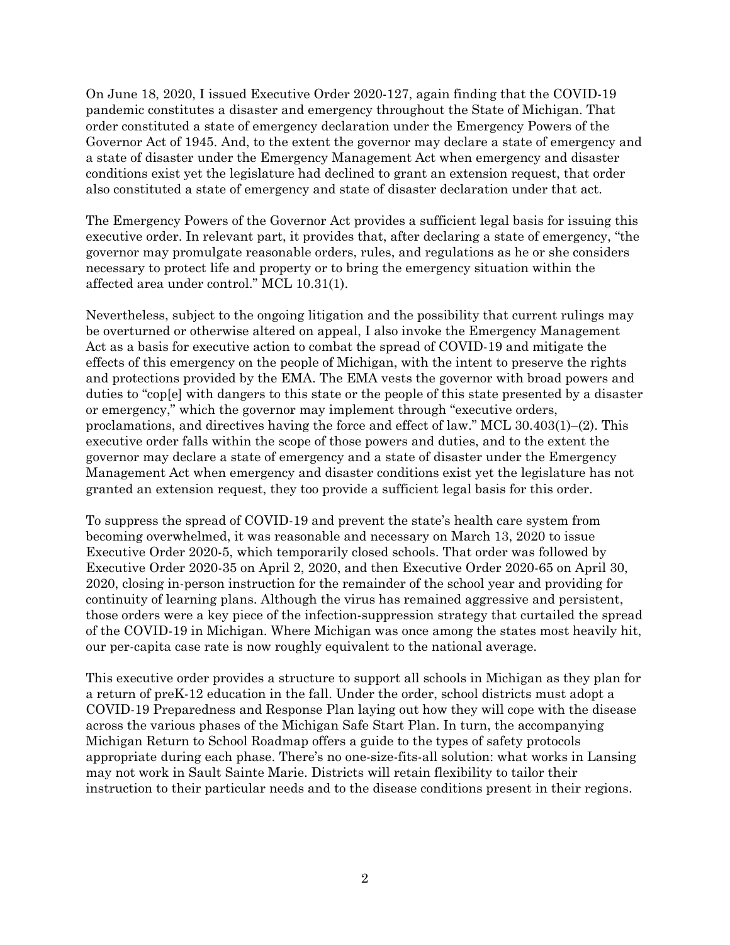On June 18, 2020, I issued Executive Order 2020-127, again finding that the COVID-19 pandemic constitutes a disaster and emergency throughout the State of Michigan. That order constituted a state of emergency declaration under the Emergency Powers of the Governor Act of 1945. And, to the extent the governor may declare a state of emergency and a state of disaster under the Emergency Management Act when emergency and disaster conditions exist yet the legislature had declined to grant an extension request, that order also constituted a state of emergency and state of disaster declaration under that act.

The Emergency Powers of the Governor Act provides a sufficient legal basis for issuing this executive order. In relevant part, it provides that, after declaring a state of emergency, "the governor may promulgate reasonable orders, rules, and regulations as he or she considers necessary to protect life and property or to bring the emergency situation within the affected area under control." MCL 10.31(1).

Nevertheless, subject to the ongoing litigation and the possibility that current rulings may be overturned or otherwise altered on appeal, I also invoke the Emergency Management Act as a basis for executive action to combat the spread of COVID-19 and mitigate the effects of this emergency on the people of Michigan, with the intent to preserve the rights and protections provided by the EMA. The EMA vests the governor with broad powers and duties to "cop[e] with dangers to this state or the people of this state presented by a disaster or emergency," which the governor may implement through "executive orders, proclamations, and directives having the force and effect of law." MCL 30.403(1)–(2). This executive order falls within the scope of those powers and duties, and to the extent the governor may declare a state of emergency and a state of disaster under the Emergency Management Act when emergency and disaster conditions exist yet the legislature has not granted an extension request, they too provide a sufficient legal basis for this order.

To suppress the spread of COVID-19 and prevent the state's health care system from becoming overwhelmed, it was reasonable and necessary on March 13, 2020 to issue Executive Order 2020-5, which temporarily closed schools. That order was followed by Executive Order 2020-35 on April 2, 2020, and then Executive Order 2020-65 on April 30, 2020, closing in-person instruction for the remainder of the school year and providing for continuity of learning plans. Although the virus has remained aggressive and persistent, those orders were a key piece of the infection-suppression strategy that curtailed the spread of the COVID-19 in Michigan. Where Michigan was once among the states most heavily hit, our per-capita case rate is now roughly equivalent to the national average.

This executive order provides a structure to support all schools in Michigan as they plan for a return of preK-12 education in the fall. Under the order, school districts must adopt a COVID-19 Preparedness and Response Plan laying out how they will cope with the disease across the various phases of the Michigan Safe Start Plan. In turn, the accompanying Michigan Return to School Roadmap offers a guide to the types of safety protocols appropriate during each phase. There's no one-size-fits-all solution: what works in Lansing may not work in Sault Sainte Marie. Districts will retain flexibility to tailor their instruction to their particular needs and to the disease conditions present in their regions.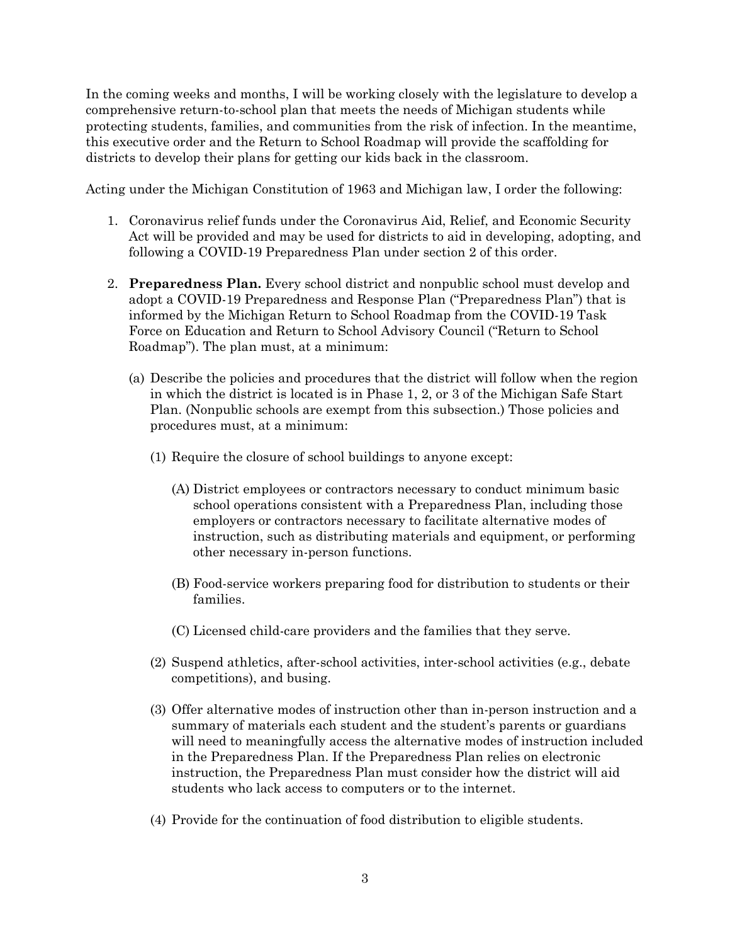In the coming weeks and months, I will be working closely with the legislature to develop a comprehensive return-to-school plan that meets the needs of Michigan students while protecting students, families, and communities from the risk of infection. In the meantime, this executive order and the Return to School Roadmap will provide the scaffolding for districts to develop their plans for getting our kids back in the classroom.

Acting under the Michigan Constitution of 1963 and Michigan law, I order the following:

- 1. Coronavirus relief funds under the Coronavirus Aid, Relief, and Economic Security Act will be provided and may be used for districts to aid in developing, adopting, and following a COVID-19 Preparedness Plan under section 2 of this order.
- 2. **Preparedness Plan.** Every school district and nonpublic school must develop and adopt a COVID-19 Preparedness and Response Plan ("Preparedness Plan") that is informed by the Michigan Return to School Roadmap from the COVID-19 Task Force on Education and Return to School Advisory Council ("Return to School Roadmap"). The plan must, at a minimum:
	- (a) Describe the policies and procedures that the district will follow when the region in which the district is located is in Phase 1, 2, or 3 of the Michigan Safe Start Plan. (Nonpublic schools are exempt from this subsection.) Those policies and procedures must, at a minimum:
		- (1) Require the closure of school buildings to anyone except:
			- (A) District employees or contractors necessary to conduct minimum basic school operations consistent with a Preparedness Plan, including those employers or contractors necessary to facilitate alternative modes of instruction, such as distributing materials and equipment, or performing other necessary in-person functions.
			- (B) Food-service workers preparing food for distribution to students or their families.
			- (C) Licensed child-care providers and the families that they serve.
		- (2) Suspend athletics, after-school activities, inter-school activities (e.g., debate competitions), and busing.
		- (3) Offer alternative modes of instruction other than in-person instruction and a summary of materials each student and the student's parents or guardians will need to meaningfully access the alternative modes of instruction included in the Preparedness Plan. If the Preparedness Plan relies on electronic instruction, the Preparedness Plan must consider how the district will aid students who lack access to computers or to the internet.
		- (4) Provide for the continuation of food distribution to eligible students.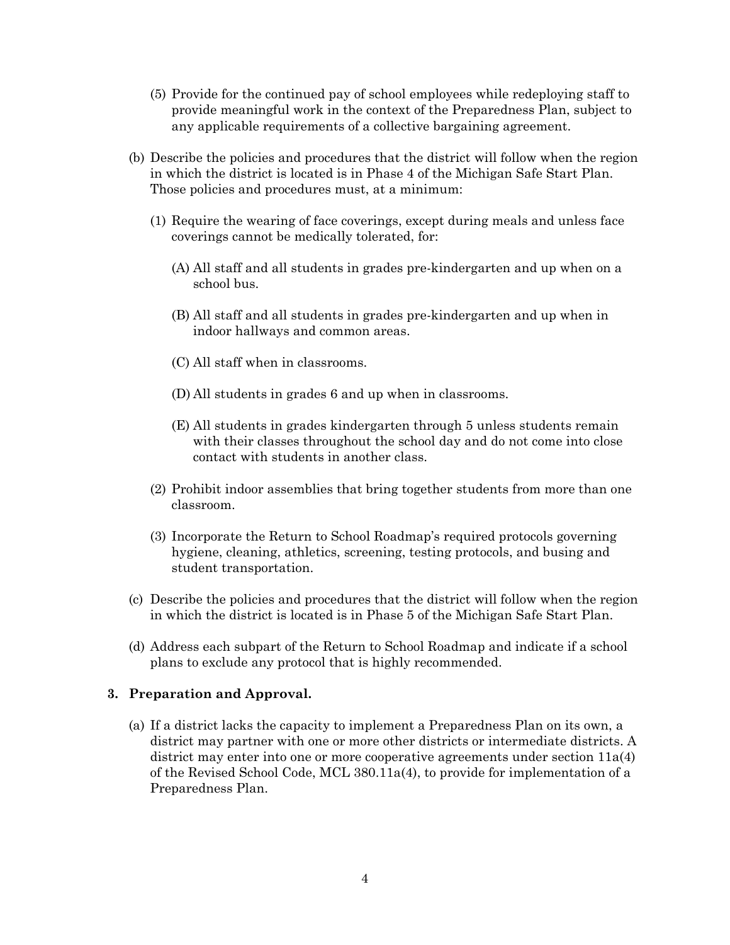- (5) Provide for the continued pay of school employees while redeploying staff to provide meaningful work in the context of the Preparedness Plan, subject to any applicable requirements of a collective bargaining agreement.
- (b) Describe the policies and procedures that the district will follow when the region in which the district is located is in Phase 4 of the Michigan Safe Start Plan. Those policies and procedures must, at a minimum:
	- (1) Require the wearing of face coverings, except during meals and unless face coverings cannot be medically tolerated, for:
		- (A) All staff and all students in grades pre-kindergarten and up when on a school bus.
		- (B) All staff and all students in grades pre-kindergarten and up when in indoor hallways and common areas.
		- (C) All staff when in classrooms.
		- (D) All students in grades 6 and up when in classrooms.
		- (E) All students in grades kindergarten through 5 unless students remain with their classes throughout the school day and do not come into close contact with students in another class.
	- (2) Prohibit indoor assemblies that bring together students from more than one classroom.
	- (3) Incorporate the Return to School Roadmap's required protocols governing hygiene, cleaning, athletics, screening, testing protocols, and busing and student transportation.
- (c) Describe the policies and procedures that the district will follow when the region in which the district is located is in Phase 5 of the Michigan Safe Start Plan.
- (d) Address each subpart of the Return to School Roadmap and indicate if a school plans to exclude any protocol that is highly recommended.

### **3. Preparation and Approval.**

(a) If a district lacks the capacity to implement a Preparedness Plan on its own, a district may partner with one or more other districts or intermediate districts. A district may enter into one or more cooperative agreements under section 11a(4) of the Revised School Code, MCL 380.11a(4), to provide for implementation of a Preparedness Plan.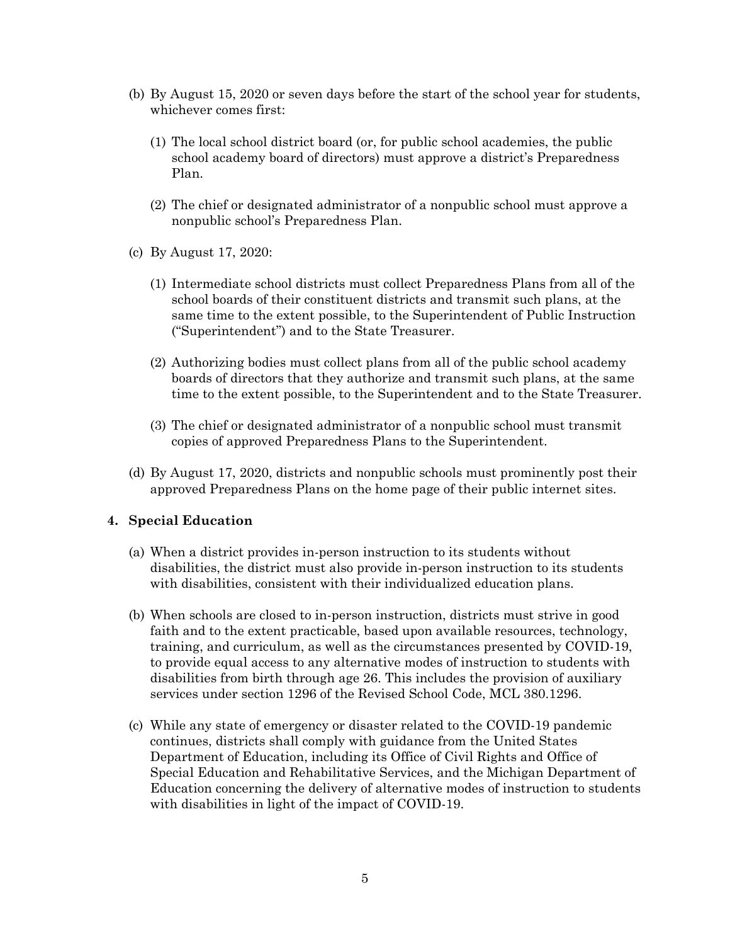- (b) By August 15, 2020 or seven days before the start of the school year for students, whichever comes first:
	- (1) The local school district board (or, for public school academies, the public school academy board of directors) must approve a district's Preparedness Plan.
	- (2) The chief or designated administrator of a nonpublic school must approve a nonpublic school's Preparedness Plan.
- (c) By August 17, 2020:
	- (1) Intermediate school districts must collect Preparedness Plans from all of the school boards of their constituent districts and transmit such plans, at the same time to the extent possible, to the Superintendent of Public Instruction ("Superintendent") and to the State Treasurer.
	- (2) Authorizing bodies must collect plans from all of the public school academy boards of directors that they authorize and transmit such plans, at the same time to the extent possible, to the Superintendent and to the State Treasurer.
	- (3) The chief or designated administrator of a nonpublic school must transmit copies of approved Preparedness Plans to the Superintendent.
- (d) By August 17, 2020, districts and nonpublic schools must prominently post their approved Preparedness Plans on the home page of their public internet sites.

#### **4. Special Education**

- (a) When a district provides in-person instruction to its students without disabilities, the district must also provide in-person instruction to its students with disabilities, consistent with their individualized education plans.
- (b) When schools are closed to in-person instruction, districts must strive in good faith and to the extent practicable, based upon available resources, technology, training, and curriculum, as well as the circumstances presented by COVID-19, to provide equal access to any alternative modes of instruction to students with disabilities from birth through age 26. This includes the provision of auxiliary services under section 1296 of the Revised School Code, MCL 380.1296.
- (c) While any state of emergency or disaster related to the COVID-19 pandemic continues, districts shall comply with guidance from the United States Department of Education, including its Office of Civil Rights and Office of Special Education and Rehabilitative Services, and the Michigan Department of Education concerning the delivery of alternative modes of instruction to students with disabilities in light of the impact of COVID-19.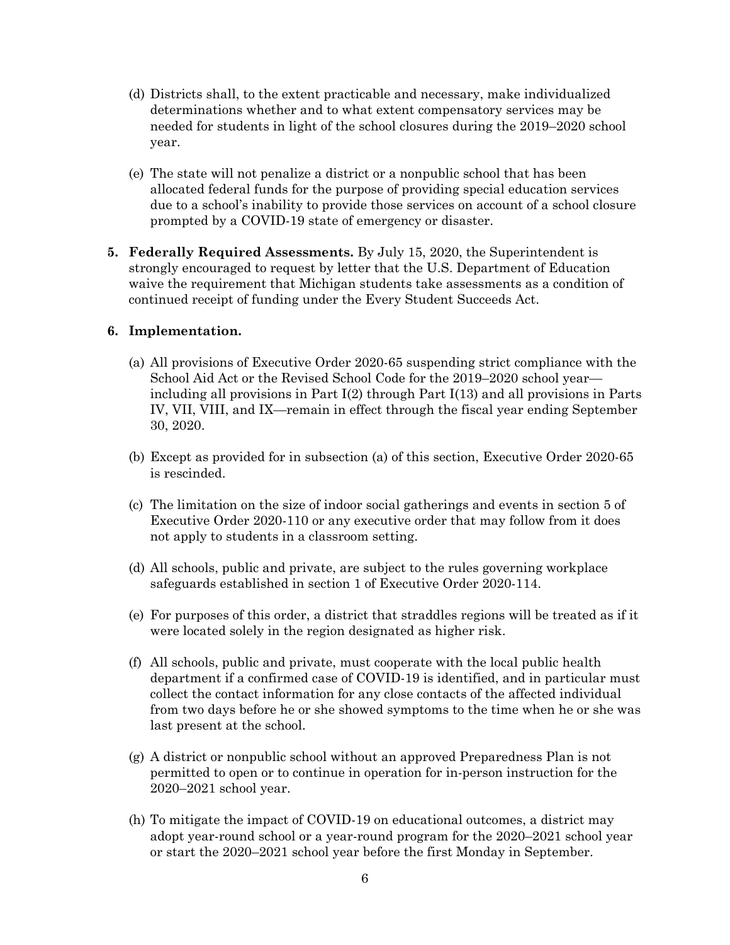- (d) Districts shall, to the extent practicable and necessary, make individualized determinations whether and to what extent compensatory services may be needed for students in light of the school closures during the 2019–2020 school year.
- (e) The state will not penalize a district or a nonpublic school that has been allocated federal funds for the purpose of providing special education services due to a school's inability to provide those services on account of a school closure prompted by a COVID-19 state of emergency or disaster.
- **5. Federally Required Assessments.** By July 15, 2020, the Superintendent is strongly encouraged to request by letter that the U.S. Department of Education waive the requirement that Michigan students take assessments as a condition of continued receipt of funding under the Every Student Succeeds Act.

### **6. Implementation.**

- (a) All provisions of Executive Order 2020-65 suspending strict compliance with the School Aid Act or the Revised School Code for the 2019–2020 school year including all provisions in Part I(2) through Part I(13) and all provisions in Parts IV, VII, VIII, and IX—remain in effect through the fiscal year ending September 30, 2020.
- (b) Except as provided for in subsection (a) of this section, Executive Order 2020-65 is rescinded.
- (c) The limitation on the size of indoor social gatherings and events in section 5 of Executive Order 2020-110 or any executive order that may follow from it does not apply to students in a classroom setting.
- (d) All schools, public and private, are subject to the rules governing workplace safeguards established in section 1 of Executive Order 2020-114.
- (e) For purposes of this order, a district that straddles regions will be treated as if it were located solely in the region designated as higher risk.
- (f) All schools, public and private, must cooperate with the local public health department if a confirmed case of COVID-19 is identified, and in particular must collect the contact information for any close contacts of the affected individual from two days before he or she showed symptoms to the time when he or she was last present at the school.
- (g) A district or nonpublic school without an approved Preparedness Plan is not permitted to open or to continue in operation for in-person instruction for the 2020–2021 school year.
- (h) To mitigate the impact of COVID-19 on educational outcomes, a district may adopt year-round school or a year-round program for the 2020–2021 school year or start the 2020–2021 school year before the first Monday in September.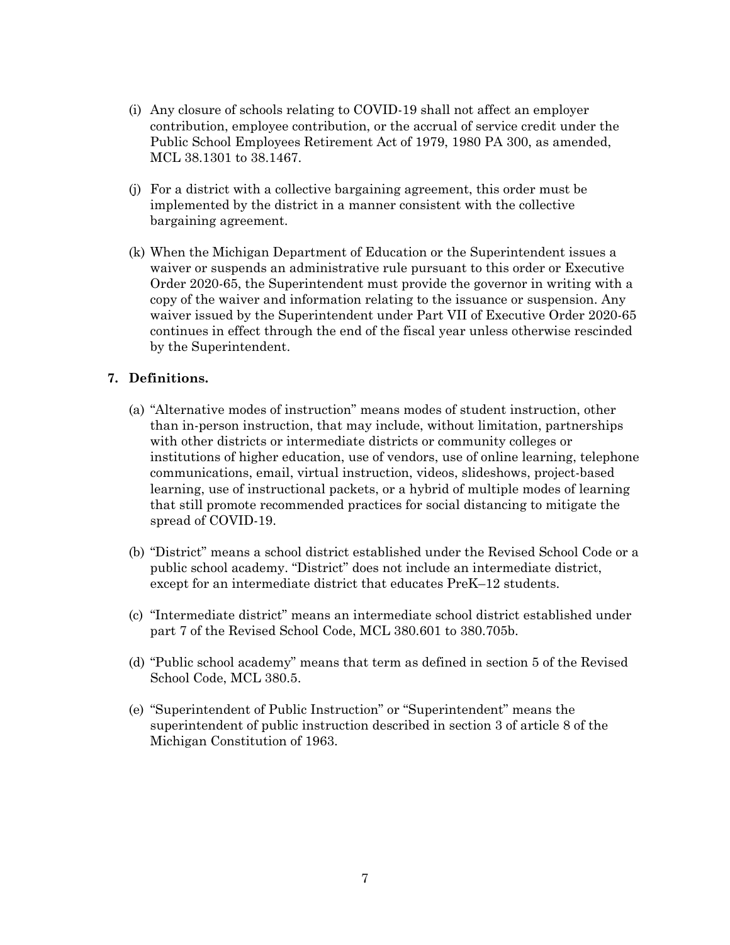- (i) Any closure of schools relating to COVID-19 shall not affect an employer contribution, employee contribution, or the accrual of service credit under the Public School Employees Retirement Act of 1979, 1980 PA 300, as amended, MCL 38.1301 to 38.1467.
- (j) For a district with a collective bargaining agreement, this order must be implemented by the district in a manner consistent with the collective bargaining agreement.
- (k) When the Michigan Department of Education or the Superintendent issues a waiver or suspends an administrative rule pursuant to this order or Executive Order 2020-65, the Superintendent must provide the governor in writing with a copy of the waiver and information relating to the issuance or suspension. Any waiver issued by the Superintendent under Part VII of Executive Order 2020-65 continues in effect through the end of the fiscal year unless otherwise rescinded by the Superintendent.

### **7. Definitions.**

- (a) "Alternative modes of instruction" means modes of student instruction, other than in-person instruction, that may include, without limitation, partnerships with other districts or intermediate districts or community colleges or institutions of higher education, use of vendors, use of online learning, telephone communications, email, virtual instruction, videos, slideshows, project-based learning, use of instructional packets, or a hybrid of multiple modes of learning that still promote recommended practices for social distancing to mitigate the spread of COVID-19.
- (b) "District" means a school district established under the Revised School Code or a public school academy. "District" does not include an intermediate district, except for an intermediate district that educates PreK–12 students.
- (c) "Intermediate district" means an intermediate school district established under part 7 of the Revised School Code, MCL 380.601 to 380.705b.
- (d) "Public school academy" means that term as defined in section 5 of the Revised School Code, MCL 380.5.
- (e) "Superintendent of Public Instruction" or "Superintendent" means the superintendent of public instruction described in section 3 of article 8 of the Michigan Constitution of 1963.